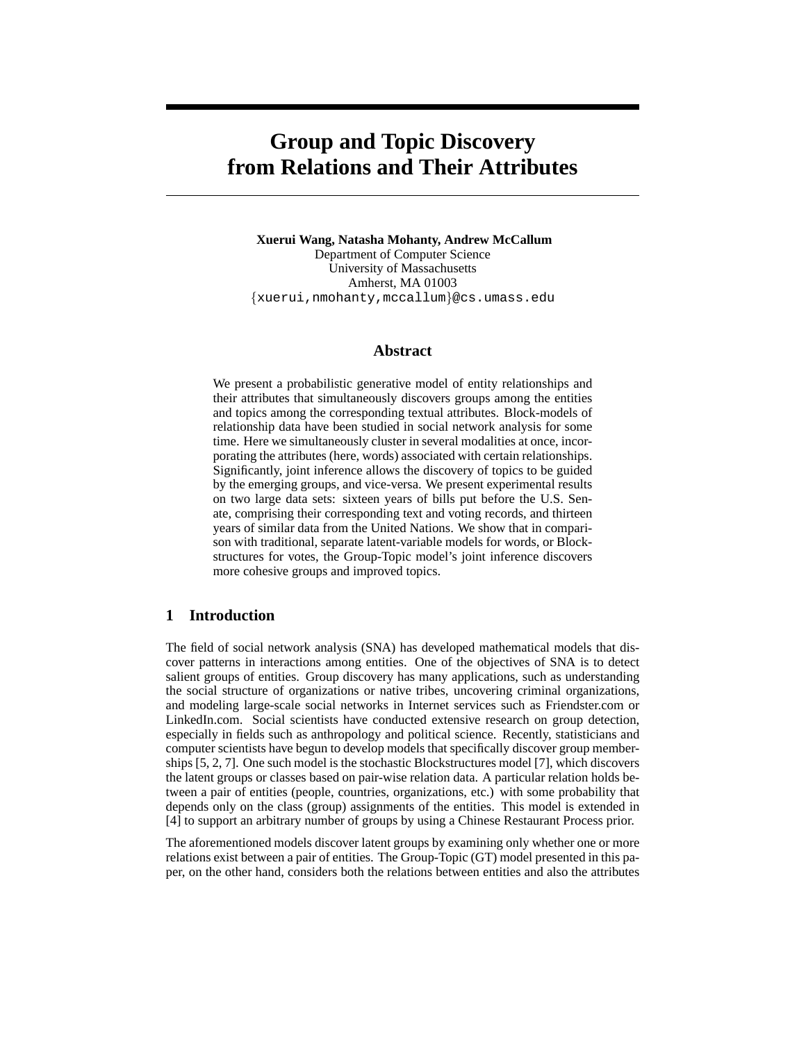# **Group and Topic Discovery from Relations and Their Attributes**

**Xuerui Wang, Natasha Mohanty, Andrew McCallum** Department of Computer Science University of Massachusetts Amherst, MA 01003 {xuerui,nmohanty,mccallum}@cs.umass.edu

## **Abstract**

We present a probabilistic generative model of entity relationships and their attributes that simultaneously discovers groups among the entities and topics among the corresponding textual attributes. Block-models of relationship data have been studied in social network analysis for some time. Here we simultaneously cluster in several modalities at once, incorporating the attributes (here, words) associated with certain relationships. Significantly, joint inference allows the discovery of topics to be guided by the emerging groups, and vice-versa. We present experimental results on two large data sets: sixteen years of bills put before the U.S. Senate, comprising their corresponding text and voting records, and thirteen years of similar data from the United Nations. We show that in comparison with traditional, separate latent-variable models for words, or Blockstructures for votes, the Group-Topic model's joint inference discovers more cohesive groups and improved topics.

# **1 Introduction**

The field of social network analysis (SNA) has developed mathematical models that discover patterns in interactions among entities. One of the objectives of SNA is to detect salient groups of entities. Group discovery has many applications, such as understanding the social structure of organizations or native tribes, uncovering criminal organizations, and modeling large-scale social networks in Internet services such as Friendster.com or LinkedIn.com. Social scientists have conducted extensive research on group detection, especially in fields such as anthropology and political science. Recently, statisticians and computer scientists have begun to develop models that specifically discover group memberships [5, 2, 7]. One such model is the stochastic Blockstructures model [7], which discovers the latent groups or classes based on pair-wise relation data. A particular relation holds between a pair of entities (people, countries, organizations, etc.) with some probability that depends only on the class (group) assignments of the entities. This model is extended in [4] to support an arbitrary number of groups by using a Chinese Restaurant Process prior.

The aforementioned models discover latent groups by examining only whether one or more relations exist between a pair of entities. The Group-Topic (GT) model presented in this paper, on the other hand, considers both the relations between entities and also the attributes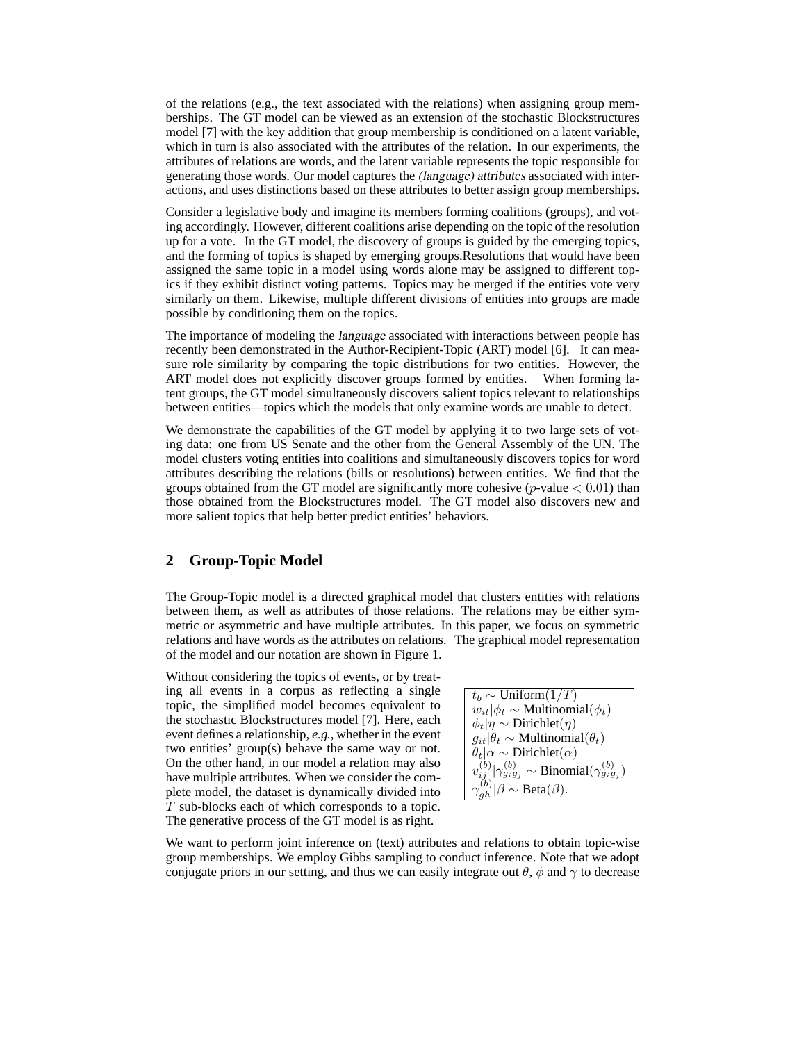of the relations (e.g., the text associated with the relations) when assigning group memberships. The GT model can be viewed as an extension of the stochastic Blockstructures model [7] with the key addition that group membership is conditioned on a latent variable, which in turn is also associated with the attributes of the relation. In our experiments, the attributes of relations are words, and the latent variable represents the topic responsible for generating those words. Our model captures the (language) attributes associated with interactions, and uses distinctions based on these attributes to better assign group memberships.

Consider a legislative body and imagine its members forming coalitions (groups), and voting accordingly. However, different coalitions arise depending on the topic of the resolution up for a vote. In the GT model, the discovery of groups is guided by the emerging topics, and the forming of topics is shaped by emerging groups.Resolutions that would have been assigned the same topic in a model using words alone may be assigned to different topics if they exhibit distinct voting patterns. Topics may be merged if the entities vote very similarly on them. Likewise, multiple different divisions of entities into groups are made possible by conditioning them on the topics.

The importance of modeling the language associated with interactions between people has recently been demonstrated in the Author-Recipient-Topic (ART) model [6]. It can measure role similarity by comparing the topic distributions for two entities. However, the ART model does not explicitly discover groups formed by entities. When forming latent groups, the GT model simultaneously discovers salient topics relevant to relationships between entities—topics which the models that only examine words are unable to detect.

We demonstrate the capabilities of the GT model by applying it to two large sets of voting data: one from US Senate and the other from the General Assembly of the UN. The model clusters voting entities into coalitions and simultaneously discovers topics for word attributes describing the relations (bills or resolutions) between entities. We find that the groups obtained from the GT model are significantly more cohesive ( $p$ -value  $< 0.01$ ) than those obtained from the Blockstructures model. The GT model also discovers new and more salient topics that help better predict entities' behaviors.

# **2 Group-Topic Model**

The Group-Topic model is a directed graphical model that clusters entities with relations between them, as well as attributes of those relations. The relations may be either symmetric or asymmetric and have multiple attributes. In this paper, we focus on symmetric relations and have words as the attributes on relations. The graphical model representation of the model and our notation are shown in Figure 1.

Without considering the topics of events, or by treating all events in a corpus as reflecting a single topic, the simplified model becomes equivalent to the stochastic Blockstructures model [7]. Here, each event defines a relationship, *e.g.*, whether in the event two entities' group(s) behave the same way or not. On the other hand, in our model a relation may also have multiple attributes. When we consider the complete model, the dataset is dynamically divided into T sub-blocks each of which corresponds to a topic. The generative process of the GT model is as right.

$$
\begin{array}{l} \hline t_b \sim \text{Uniform}(1/T) \\ w_{it} | \phi_t \sim \text{Multinomial}(\phi_t) \\ \phi_t | \eta \sim \text{Dirichlet}(\eta) \\ g_{it} | \theta_t \sim \text{Multinomial}(\theta_t) \\ \theta_t | \alpha \sim \text{Dirichlet}(\alpha) \\ v_{ij}^{(b)} | \gamma_{g_ig_j}^{(b)} \sim \text{Binomial}(\gamma_{g_ig_j}^{(b)}) \\ \gamma_{gh}^{(b)} | \beta \sim \text{Beta}(\beta). \end{array}
$$

We want to perform joint inference on (text) attributes and relations to obtain topic-wise group memberships. We employ Gibbs sampling to conduct inference. Note that we adopt conjugate priors in our setting, and thus we can easily integrate out  $\theta$ ,  $\phi$  and  $\gamma$  to decrease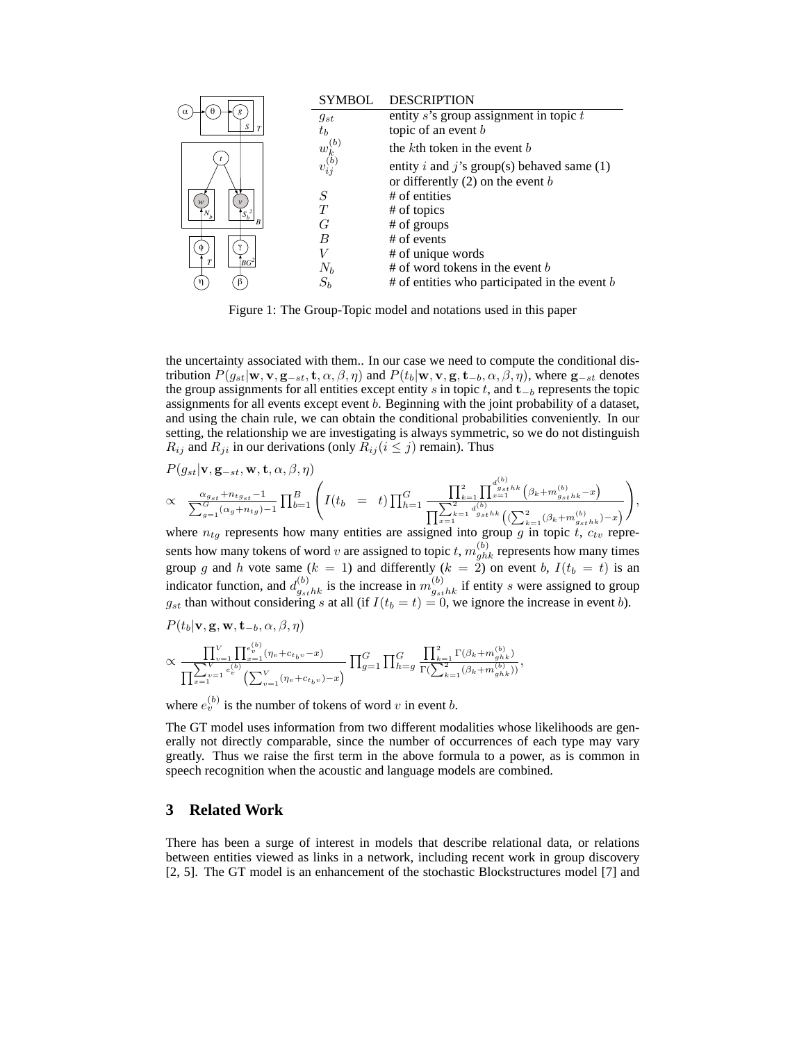

Figure 1: The Group-Topic model and notations used in this paper

the uncertainty associated with them.. In our case we need to compute the conditional distribution  $P(g_{st}|\mathbf{w}, \mathbf{v}, \mathbf{g}_{-st}, \mathbf{t}, \alpha, \beta, \eta)$  and  $P(t_b|\mathbf{w}, \mathbf{v}, \mathbf{g}, \mathbf{t}_{-b}, \alpha, \beta, \eta)$ , where  $\mathbf{g}_{-st}$  denotes the group assignments for all entities except entity s in topic t, and  $t_{-b}$  represents the topic assignments for all events except event  $b$ . Beginning with the joint probability of a dataset, and using the chain rule, we can obtain the conditional probabilities conveniently. In our setting, the relationship we are investigating is always symmetric, so we do not distinguish  $R_{ij}$  and  $R_{ji}$  in our derivations (only  $R_{ij}$  ( $i \leq j$ ) remain). Thus

$$
\begin{array}{l} P(g_{st}|\textbf{v},\textbf{g}_{-st},\textbf{w},\textbf{t},\alpha,\beta,\eta)\\ \propto \begin{array}{l} \frac{\alpha_{g_{st}}+n_{tg_{st}}-1}{\sum_{g=1}^G(\alpha_g+n_{tg})-1} \prod_{b=1}^B \left(I(t_b\ \ = \ \ t) \prod_{h=1}^G \frac{\prod_{k=1}^2 \prod_{s=1}^{d_{g_{st}hk}^{(b)}} \left(\beta_k+m_{g_{st}hk}^{(b)}-x\right)}{\prod_{x=1}^{\sum_{k=1}^2 d_{g_{st}hk}^{(b)}} \left((\sum_{k=1}^2 (\beta_k+m_{g_{st}hk}^{(b)})-x\right)}\right), \end{array}
$$

where  $n_{tg}$  represents how many entities are assigned into group g in topic t,  $c_{tv}$  represents how many tokens of word v are assigned to topic t,  $m_{ghk}^{(b)}$  represents how many times group g and h vote same  $(k = 1)$  and differently  $(k = 2)$  on event b,  $I(t_b = t)$  is an indicator function, and  $d_{g_{st}hk}^{(b)}$  is the increase in  $m_{g_{st}hk}^{(b)}$  if entity s were assigned to group  $g_{st}$  than without considering s at all (if  $I(t_b = t) = 0$ , we ignore the increase in event b).

$$
P(t_b|\mathbf{v}, \mathbf{g}, \mathbf{w}, \mathbf{t}_{-b}, \alpha, \beta, \eta)
$$
  

$$
\propto \frac{\prod_{v=1}^{V} \prod_{x=1}^{e_v^{(b)}} (\eta_v + c_{t_b v} - x)}{\prod_{x=1}^{V} \prod_{v=1}^{e_v^{(b)}} (\sum_{v=1}^{V} (\eta_v + c_{t_b v}) - x)} \prod_{g=1}^{G} \prod_{h=g}^{G} \frac{\prod_{k=1}^{2} \Gamma(\beta_k + m_{ghk}^{(b)})}{\Gamma(\sum_{k=1}^{2} (\beta_k + m_{ghk}^{(b)}))},
$$

where  $e_v^{(b)}$  is the number of tokens of word v in event b.

The GT model uses information from two different modalities whose likelihoods are generally not directly comparable, since the number of occurrences of each type may vary greatly. Thus we raise the first term in the above formula to a power, as is common in speech recognition when the acoustic and language models are combined.

# **3 Related Work**

There has been a surge of interest in models that describe relational data, or relations between entities viewed as links in a network, including recent work in group discovery [2, 5]. The GT model is an enhancement of the stochastic Blockstructures model [7] and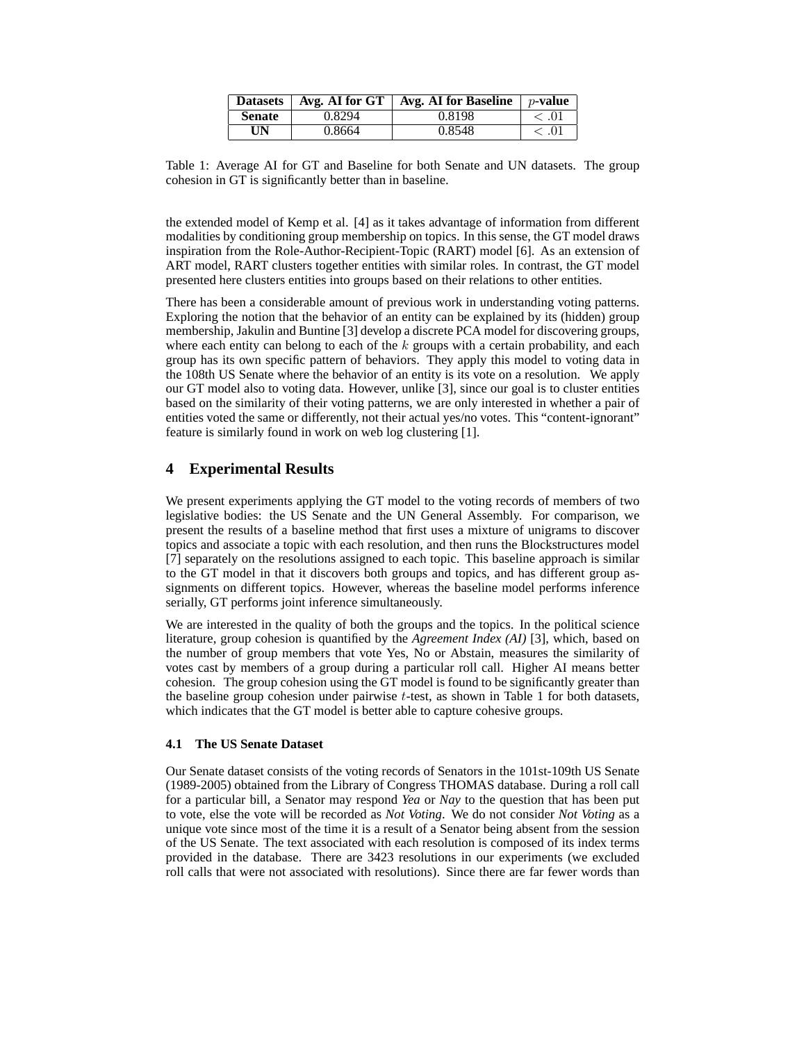| Datasets $\vert$ |        | Avg. AI for GT   Avg. AI for Baseline   $p$ -value |            |
|------------------|--------|----------------------------------------------------|------------|
| <b>Senate</b>    | 0.8294 | 0.8198                                             | $\leq .01$ |
| UN               | 0.8664 | 0.8548                                             | < 0.01     |

Table 1: Average AI for GT and Baseline for both Senate and UN datasets. The group cohesion in GT is significantly better than in baseline.

the extended model of Kemp et al. [4] as it takes advantage of information from different modalities by conditioning group membership on topics. In this sense, the GT model draws inspiration from the Role-Author-Recipient-Topic (RART) model [6]. As an extension of ART model, RART clusters together entities with similar roles. In contrast, the GT model presented here clusters entities into groups based on their relations to other entities.

There has been a considerable amount of previous work in understanding voting patterns. Exploring the notion that the behavior of an entity can be explained by its (hidden) group membership, Jakulin and Buntine [3] develop a discrete PCA model for discovering groups, where each entity can belong to each of the  $k$  groups with a certain probability, and each group has its own specific pattern of behaviors. They apply this model to voting data in the 108th US Senate where the behavior of an entity is its vote on a resolution. We apply our GT model also to voting data. However, unlike [3], since our goal is to cluster entities based on the similarity of their voting patterns, we are only interested in whether a pair of entities voted the same or differently, not their actual yes/no votes. This "content-ignorant" feature is similarly found in work on web log clustering [1].

## **4 Experimental Results**

We present experiments applying the GT model to the voting records of members of two legislative bodies: the US Senate and the UN General Assembly. For comparison, we present the results of a baseline method that first uses a mixture of unigrams to discover topics and associate a topic with each resolution, and then runs the Blockstructures model [7] separately on the resolutions assigned to each topic. This baseline approach is similar to the GT model in that it discovers both groups and topics, and has different group assignments on different topics. However, whereas the baseline model performs inference serially, GT performs joint inference simultaneously.

We are interested in the quality of both the groups and the topics. In the political science literature, group cohesion is quantified by the *Agreement Index (AI)* [3], which, based on the number of group members that vote Yes, No or Abstain, measures the similarity of votes cast by members of a group during a particular roll call. Higher AI means better cohesion. The group cohesion using the GT model is found to be significantly greater than the baseline group cohesion under pairwise t-test, as shown in Table 1 for both datasets, which indicates that the GT model is better able to capture cohesive groups.

#### **4.1 The US Senate Dataset**

Our Senate dataset consists of the voting records of Senators in the 101st-109th US Senate (1989-2005) obtained from the Library of Congress THOMAS database. During a roll call for a particular bill, a Senator may respond *Yea* or *Nay* to the question that has been put to vote, else the vote will be recorded as *Not Voting*. We do not consider *Not Voting* as a unique vote since most of the time it is a result of a Senator being absent from the session of the US Senate. The text associated with each resolution is composed of its index terms provided in the database. There are 3423 resolutions in our experiments (we excluded roll calls that were not associated with resolutions). Since there are far fewer words than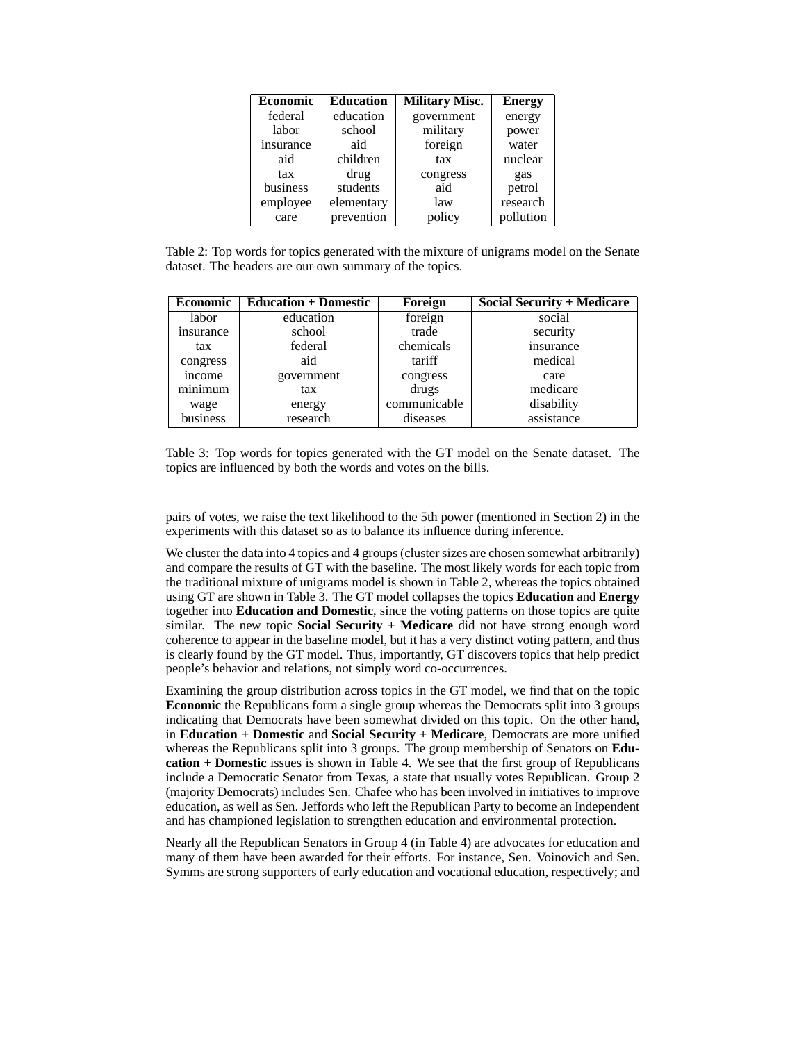| <b>Economic</b> | <b>Education</b> | <b>Military Misc.</b> | <b>Energy</b> |
|-----------------|------------------|-----------------------|---------------|
| federal         | education        | government            | energy        |
| labor           | school           | military              | power         |
| insurance       | aid              | foreign               | water         |
| aid             | children         | tax                   | nuclear       |
| tax             | drug             | congress              | gas           |
| business        | students         | aid                   | petrol        |
| employee        | elementary       | law                   | research      |
| care            | prevention       | policy                | pollution     |

Table 2: Top words for topics generated with the mixture of unigrams model on the Senate dataset. The headers are our own summary of the topics.

| <b>Economic</b> | <b>Education + Domestic</b> | Foreign      | <b>Social Security + Medicare</b> |
|-----------------|-----------------------------|--------------|-----------------------------------|
| labor           | education                   | foreign      | social                            |
| insurance       | school                      | trade        | security                          |
| tax             | federal                     | chemicals    | insurance                         |
| congress        | aid                         | tariff       | medical                           |
| income          | government                  | congress     | care                              |
| minimum         | tax                         | drugs        | medicare                          |
| wage            | energy                      | communicable | disability                        |
| business        | research                    | diseases     | assistance                        |

Table 3: Top words for topics generated with the GT model on the Senate dataset. The topics are influenced by both the words and votes on the bills.

pairs of votes, we raise the text likelihood to the 5th power (mentioned in Section 2) in the experiments with this dataset so as to balance its influence during inference.

We cluster the data into 4 topics and 4 groups (cluster sizes are chosen somewhat arbitrarily) and compare the results of GT with the baseline. The most likely words for each topic from the traditional mixture of unigrams model is shown in Table 2, whereas the topics obtained using GT are shown in Table 3. The GT model collapses the topics **Education** and **Energy** together into **Education and Domestic**, since the voting patterns on those topics are quite similar. The new topic **Social Security + Medicare** did not have strong enough word coherence to appear in the baseline model, but it has a very distinct voting pattern, and thus is clearly found by the GT model. Thus, importantly, GT discovers topics that help predict people's behavior and relations, not simply word co-occurrences.

Examining the group distribution across topics in the GT model, we find that on the topic **Economic** the Republicans form a single group whereas the Democrats split into 3 groups indicating that Democrats have been somewhat divided on this topic. On the other hand, in **Education + Domestic** and **Social Security + Medicare**, Democrats are more unified whereas the Republicans split into 3 groups. The group membership of Senators on **Education + Domestic** issues is shown in Table 4. We see that the first group of Republicans include a Democratic Senator from Texas, a state that usually votes Republican. Group 2 (majority Democrats) includes Sen. Chafee who has been involved in initiatives to improve education, as well as Sen. Jeffords who left the Republican Party to become an Independent and has championed legislation to strengthen education and environmental protection.

Nearly all the Republican Senators in Group 4 (in Table 4) are advocates for education and many of them have been awarded for their efforts. For instance, Sen. Voinovich and Sen. Symms are strong supporters of early education and vocational education, respectively; and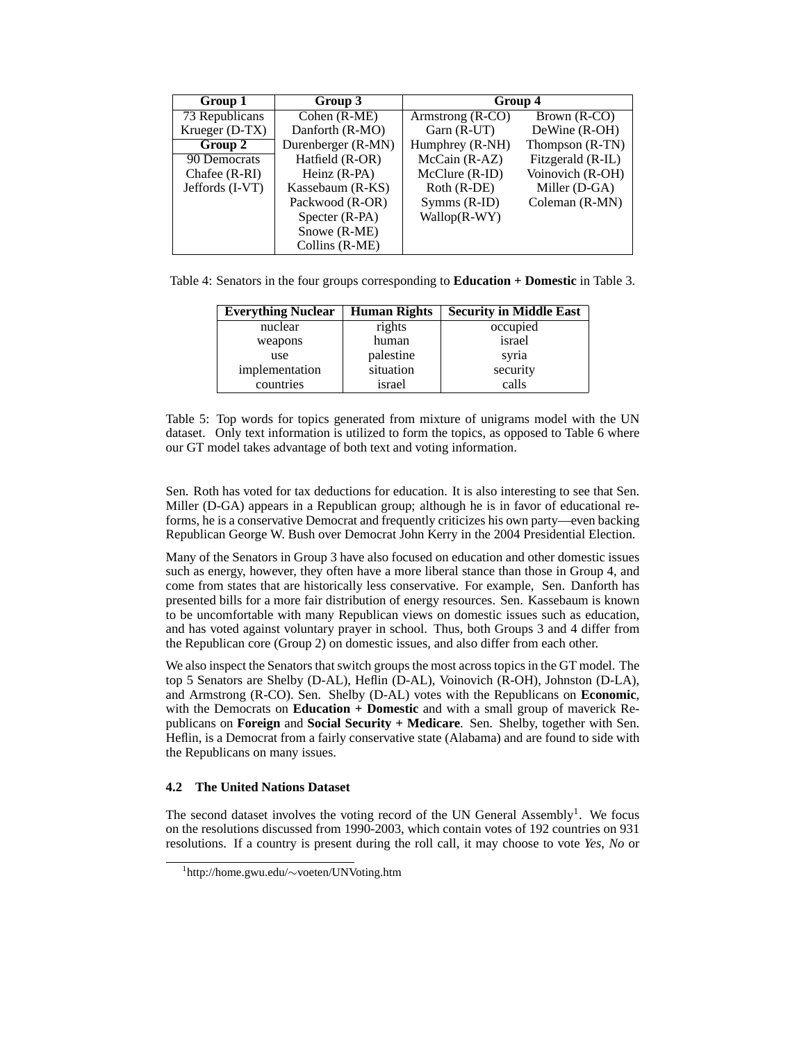| Group 1         | Group 3              | Group 4          |                   |
|-----------------|----------------------|------------------|-------------------|
| 73 Republicans  | Cohen $(R-ME)$       | Armstrong (R-CO) | Brown (R-CO)      |
| Krueger (D-TX)  | Danforth (R-MO)      | Garn (R-UT)      | DeWine (R-OH)     |
| Group 2         | Durenberger (R-MN)   | Humphrey (R-NH)  | Thompson (R-TN)   |
| 90 Democrats    | Hatfield (R-OR)      | McCain (R-AZ)    | Fitzgerald (R-IL) |
| Chafee $(R-RI)$ | Heinz (R-PA)         | $McClure (R-ID)$ | Voinovich (R-OH)  |
| Jeffords (I-VT) | Kassebaum (R-KS)     | Roth (R-DE)      | Miller (D-GA)     |
|                 | Packwood (R-OR)      | $Symms(R-ID)$    | Coleman (R-MN)    |
|                 | Specter $(R$ -PA $)$ | Wallop(R-WY)     |                   |
|                 | Snowe $(R-ME)$       |                  |                   |
|                 | Collins (R-ME)       |                  |                   |

Table 4: Senators in the four groups corresponding to **Education + Domestic** in Table 3.

| <b>Everything Nuclear</b> | <b>Human Rights</b> | <b>Security in Middle East</b> |
|---------------------------|---------------------|--------------------------------|
| nuclear                   | rights              | occupied                       |
| weapons                   | human               | israel                         |
| use                       | palestine           | syria                          |
| implementation            | situation           | security                       |
| countries                 | israel              | calls                          |

Table 5: Top words for topics generated from mixture of unigrams model with the UN dataset. Only text information is utilized to form the topics, as opposed to Table 6 where our GT model takes advantage of both text and voting information.

Sen. Roth has voted for tax deductions for education. It is also interesting to see that Sen. Miller (D-GA) appears in a Republican group; although he is in favor of educational reforms, he is a conservative Democrat and frequently criticizes his own party—even backing Republican George W. Bush over Democrat John Kerry in the 2004 Presidential Election.

Many of the Senators in Group 3 have also focused on education and other domestic issues such as energy, however, they often have a more liberal stance than those in Group 4, and come from states that are historically less conservative. For example, Sen. Danforth has presented bills for a more fair distribution of energy resources. Sen. Kassebaum is known to be uncomfortable with many Republican views on domestic issues such as education, and has voted against voluntary prayer in school. Thus, both Groups 3 and 4 differ from the Republican core (Group 2) on domestic issues, and also differ from each other.

We also inspect the Senators that switch groups the most across topics in the GT model. The top 5 Senators are Shelby (D-AL), Heflin (D-AL), Voinovich (R-OH), Johnston (D-LA), and Armstrong (R-CO). Sen. Shelby (D-AL) votes with the Republicans on **Economic**, with the Democrats on **Education + Domestic** and with a small group of maverick Republicans on **Foreign** and **Social Security + Medicare**. Sen. Shelby, together with Sen. Heflin, is a Democrat from a fairly conservative state (Alabama) and are found to side with the Republicans on many issues.

### **4.2 The United Nations Dataset**

The second dataset involves the voting record of the UN General Assembly<sup>1</sup>. We focus on the resolutions discussed from 1990-2003, which contain votes of 192 countries on 931 resolutions. If a country is present during the roll call, it may choose to vote *Yes*, *No* or

<sup>1</sup> http://home.gwu.edu/∼voeten/UNVoting.htm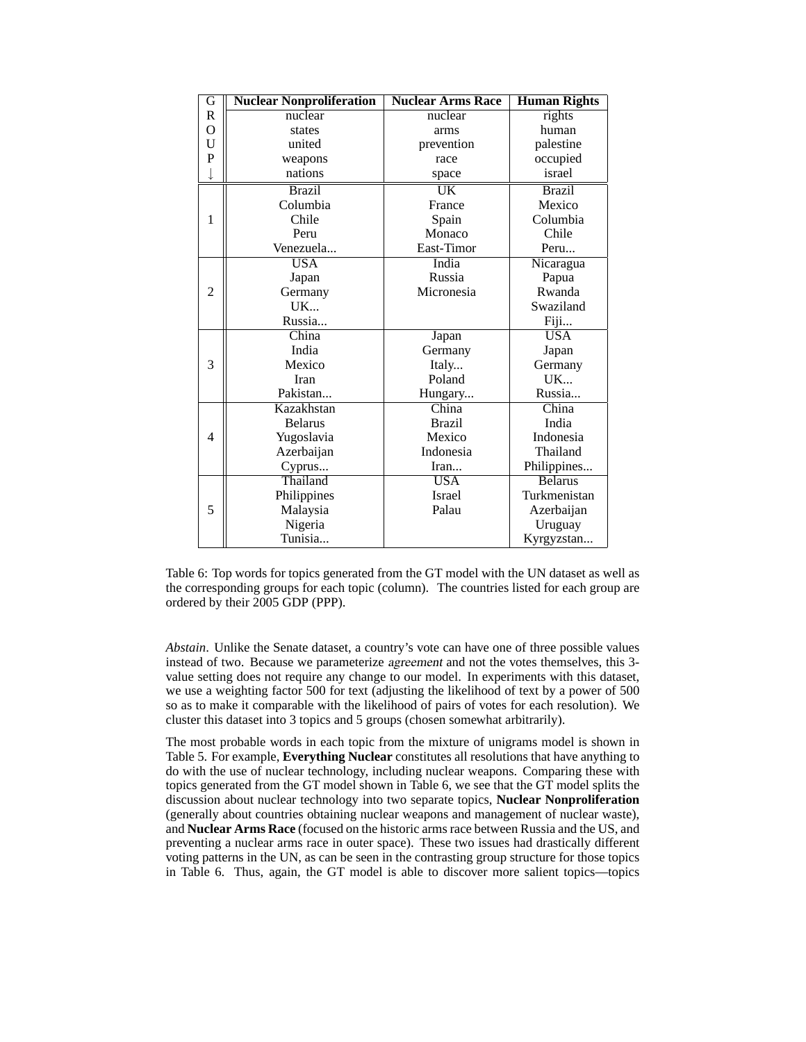| G                       | <b>Nuclear Nonproliferation</b> | <b>Nuclear Arms Race</b>  | <b>Human Rights</b> |
|-------------------------|---------------------------------|---------------------------|---------------------|
| $\overline{\mathrm{R}}$ | nuclear                         | nuclear                   | rights              |
| O                       | states                          | arms                      | human               |
| U                       | united                          | prevention                | palestine           |
| $\mathbf P$             | weapons                         | race                      | occupied            |
| $\downarrow$            | nations                         | space                     | israel              |
|                         | <b>Brazil</b>                   | $\overline{\text{UK}}$    | <b>Brazil</b>       |
|                         | Columbia                        | France                    | Mexico              |
| 1                       | Chile                           | Spain                     | Columbia            |
|                         | Peru                            | Monaco                    | Chile               |
|                         | Venezuela                       | East-Timor                | Peru                |
|                         | <b>USA</b>                      | India                     | Nicaragua           |
|                         | Japan                           | Russia                    | Papua               |
| $\overline{2}$          | Germany                         | Micronesia                | Rwanda              |
|                         | UK                              |                           | Swaziland           |
|                         | Russia                          |                           | Fiji                |
|                         | China                           | Japan                     | <b>USA</b>          |
|                         | India                           | Germany                   | Japan               |
| 3                       | Mexico                          | Italy                     | Germany             |
|                         | <b>Iran</b>                     | Poland                    | UK                  |
|                         | Pakistan                        | Hungary                   | Russia              |
|                         | Kazakhstan                      | $\overline{\text{China}}$ | China               |
|                         | <b>Belarus</b>                  | <b>Brazil</b>             | India               |
| 4                       | Yugoslavia                      | Mexico                    | Indonesia           |
|                         | Azerbaijan                      | Indonesia                 | Thailand            |
|                         | Cyprus                          | Iran                      | Philippines         |
|                         | Thailand                        | $\overline{\text{USA}}$   | <b>Belarus</b>      |
|                         | Philippines                     | <b>Israel</b>             | Turkmenistan        |
| 5                       | Malaysia                        | Palau                     | Azerbaijan          |
|                         | Nigeria                         |                           | Uruguay             |
|                         | Tunisia                         |                           | Kyrgyzstan          |

Table 6: Top words for topics generated from the GT model with the UN dataset as well as the corresponding groups for each topic (column). The countries listed for each group are ordered by their 2005 GDP (PPP).

*Abstain*. Unlike the Senate dataset, a country's vote can have one of three possible values instead of two. Because we parameterize agreement and not the votes themselves, this 3 value setting does not require any change to our model. In experiments with this dataset, we use a weighting factor 500 for text (adjusting the likelihood of text by a power of 500 so as to make it comparable with the likelihood of pairs of votes for each resolution). We cluster this dataset into 3 topics and 5 groups (chosen somewhat arbitrarily).

The most probable words in each topic from the mixture of unigrams model is shown in Table 5. For example, **Everything Nuclear** constitutes all resolutions that have anything to do with the use of nuclear technology, including nuclear weapons. Comparing these with topics generated from the GT model shown in Table 6, we see that the GT model splits the discussion about nuclear technology into two separate topics, **Nuclear Nonproliferation** (generally about countries obtaining nuclear weapons and management of nuclear waste), and **Nuclear Arms Race** (focused on the historic arms race between Russia and the US, and preventing a nuclear arms race in outer space). These two issues had drastically different voting patterns in the UN, as can be seen in the contrasting group structure for those topics in Table 6. Thus, again, the GT model is able to discover more salient topics—topics